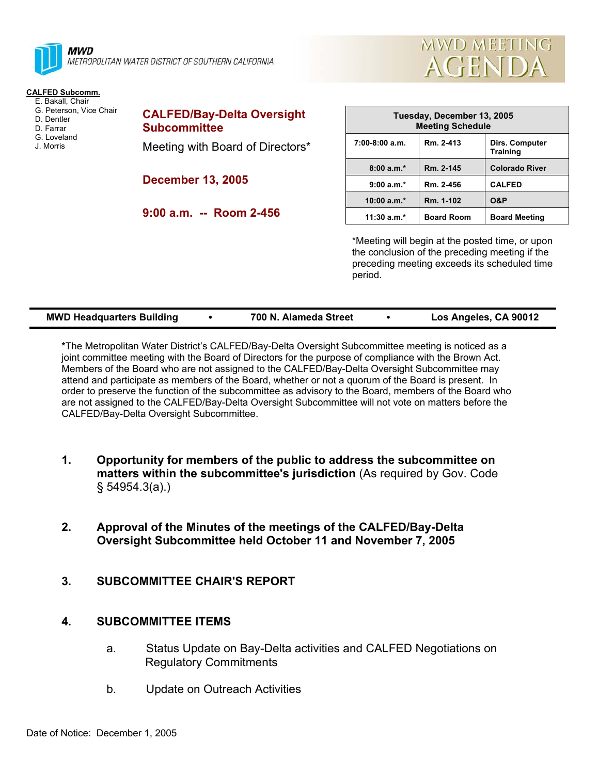



## **CALFED Subcomm.**

- E. Bakall, Chair
- G. Peterson, Vice Chair D. Dentler
- D. Farrar
- G. Loveland
- J. Morris

**CALFED/Bay-Delta Oversight Subcommittee**  Meeting with Board of Directors\*

**December 13, 2005** 

**9:00 a.m. -- Room 2-456** 

| Tuesday, December 13, 2005<br><b>Meeting Schedule</b> |                   |                                   |  |  |  |
|-------------------------------------------------------|-------------------|-----------------------------------|--|--|--|
| $7:00-8:00$ a.m.                                      | Rm. 2-413         | Dirs. Computer<br><b>Training</b> |  |  |  |
| $8:00a.m.*$                                           | Rm. 2-145         | <b>Colorado River</b>             |  |  |  |
| $9:00 a.m.*$                                          | Rm. 2-456         | <b>CALFED</b>                     |  |  |  |
| $10:00 a.m.*$                                         | Rm. 1-102         | <b>O&amp;P</b>                    |  |  |  |
| $11:30 a.m.*$                                         | <b>Board Room</b> | <b>Board Meeting</b>              |  |  |  |

\*Meeting will begin at the posted time, or upon the conclusion of the preceding meeting if the preceding meeting exceeds its scheduled time period.

| <b>MWD Headquarters Building</b> |  | 700 N. Alameda Street |  | Los Angeles, CA 90012 |
|----------------------------------|--|-----------------------|--|-----------------------|
|----------------------------------|--|-----------------------|--|-----------------------|

**\***The Metropolitan Water District's CALFED/Bay-Delta Oversight Subcommittee meeting is noticed as a joint committee meeting with the Board of Directors for the purpose of compliance with the Brown Act. Members of the Board who are not assigned to the CALFED/Bay-Delta Oversight Subcommittee may attend and participate as members of the Board, whether or not a quorum of the Board is present. In order to preserve the function of the subcommittee as advisory to the Board, members of the Board who are not assigned to the CALFED/Bay-Delta Oversight Subcommittee will not vote on matters before the CALFED/Bay-Delta Oversight Subcommittee.

- **1. Opportunity for members of the public to address the subcommittee on matters within the subcommittee's jurisdiction** (As required by Gov. Code § 54954.3(a).)
- **2. Approval of the Minutes of the meetings of the CALFED/Bay-Delta Oversight Subcommittee held October 11 and November 7, 2005**
- **3. SUBCOMMITTEE CHAIR'S REPORT**

## **4. SUBCOMMITTEE ITEMS**

- a. Status Update on Bay-Delta activities and CALFED Negotiations on Regulatory Commitments
- b. Update on Outreach Activities